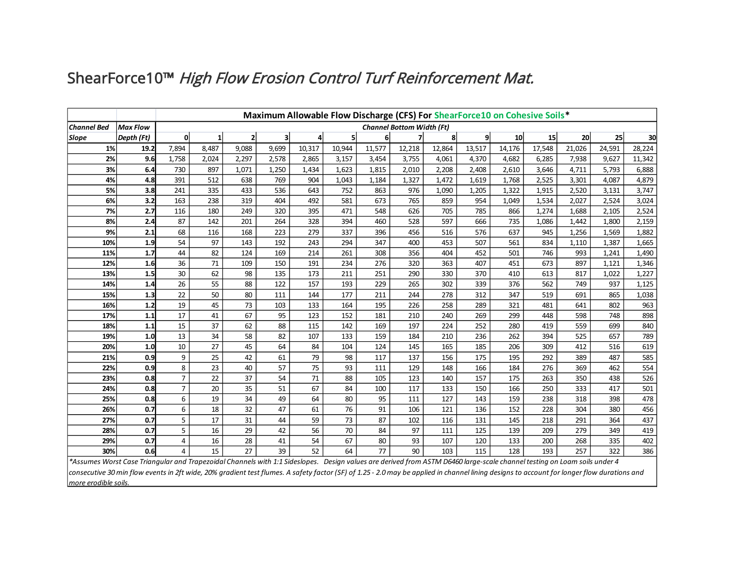## ShearForce10™ High Flow Erosion Control Turf Reinforcement Mat.

|                                                                                                                                                                          |                                                                                                                                                                                                                                 | Maximum Allowable Flow Discharge (CFS) For ShearForce10 on Cohesive Soils* |       |       |       |        |        |                |        |        |              |        |        |        |        |        |
|--------------------------------------------------------------------------------------------------------------------------------------------------------------------------|---------------------------------------------------------------------------------------------------------------------------------------------------------------------------------------------------------------------------------|----------------------------------------------------------------------------|-------|-------|-------|--------|--------|----------------|--------|--------|--------------|--------|--------|--------|--------|--------|
| <b>Channel Bed</b>                                                                                                                                                       | <b>Max Flow</b>                                                                                                                                                                                                                 | <b>Channel Bottom Width (Ft)</b>                                           |       |       |       |        |        |                |        |        |              |        |        |        |        |        |
| Slope                                                                                                                                                                    | Depth (Ft)                                                                                                                                                                                                                      | $\mathbf{0}$                                                               |       | 2     | 3     | 4      | 5      | 6 <sup>1</sup> |        | 8      | $\mathbf{9}$ | 10     | 15     | 20     | 25     | 30     |
| 1%                                                                                                                                                                       | 19.2                                                                                                                                                                                                                            | 7,894                                                                      | 8,487 | 9,088 | 9,699 | 10,317 | 10,944 | 11,577         | 12,218 | 12,864 | 13,517       | 14,176 | 17,548 | 21,026 | 24,591 | 28,224 |
| 2%                                                                                                                                                                       | 9.6                                                                                                                                                                                                                             | 1,758                                                                      | 2,024 | 2,297 | 2,578 | 2,865  | 3,157  | 3,454          | 3,755  | 4,061  | 4,370        | 4,682  | 6,285  | 7,938  | 9,627  | 11,342 |
| 3%                                                                                                                                                                       | 6.4                                                                                                                                                                                                                             | 730                                                                        | 897   | 1,071 | 1,250 | 1,434  | 1,623  | 1,815          | 2,010  | 2,208  | 2,408        | 2,610  | 3,646  | 4,711  | 5,793  | 6,888  |
| 4%                                                                                                                                                                       | 4.8                                                                                                                                                                                                                             | 391                                                                        | 512   | 638   | 769   | 904    | 1,043  | 1,184          | 1,327  | 1,472  | 1,619        | 1,768  | 2,525  | 3,301  | 4,087  | 4,879  |
| 5%                                                                                                                                                                       | 3.8                                                                                                                                                                                                                             | 241                                                                        | 335   | 433   | 536   | 643    | 752    | 863            | 976    | 1,090  | 1,205        | 1,322  | 1,915  | 2,520  | 3,131  | 3,747  |
| 6%                                                                                                                                                                       | 3.2                                                                                                                                                                                                                             | 163                                                                        | 238   | 319   | 404   | 492    | 581    | 673            | 765    | 859    | 954          | 1,049  | 1,534  | 2,027  | 2,524  | 3,024  |
| 7%                                                                                                                                                                       | 2.7                                                                                                                                                                                                                             | 116                                                                        | 180   | 249   | 320   | 395    | 471    | 548            | 626    | 705    | 785          | 866    | 1,274  | 1,688  | 2,105  | 2,524  |
| 8%                                                                                                                                                                       | 2.4                                                                                                                                                                                                                             | 87                                                                         | 142   | 201   | 264   | 328    | 394    | 460            | 528    | 597    | 666          | 735    | 1,086  | 1,442  | 1,800  | 2,159  |
| 9%                                                                                                                                                                       | 2.1                                                                                                                                                                                                                             | 68                                                                         | 116   | 168   | 223   | 279    | 337    | 396            | 456    | 516    | 576          | 637    | 945    | 1,256  | 1,569  | 1,882  |
| 10%                                                                                                                                                                      | 1.9                                                                                                                                                                                                                             | 54                                                                         | 97    | 143   | 192   | 243    | 294    | 347            | 400    | 453    | 507          | 561    | 834    | 1,110  | 1,387  | 1,665  |
| 11%                                                                                                                                                                      | 1.7                                                                                                                                                                                                                             | 44                                                                         | 82    | 124   | 169   | 214    | 261    | 308            | 356    | 404    | 452          | 501    | 746    | 993    | 1,241  | 1,490  |
| 12%                                                                                                                                                                      | 1.6                                                                                                                                                                                                                             | 36                                                                         | 71    | 109   | 150   | 191    | 234    | 276            | 320    | 363    | 407          | 451    | 673    | 897    | 1,121  | 1,346  |
| 13%                                                                                                                                                                      | 1.5                                                                                                                                                                                                                             | 30                                                                         | 62    | 98    | 135   | 173    | 211    | 251            | 290    | 330    | 370          | 410    | 613    | 817    | 1,022  | 1,227  |
| 14%                                                                                                                                                                      | 1.4                                                                                                                                                                                                                             | 26                                                                         | 55    | 88    | 122   | 157    | 193    | 229            | 265    | 302    | 339          | 376    | 562    | 749    | 937    | 1,125  |
| 15%                                                                                                                                                                      | 1.3                                                                                                                                                                                                                             | 22                                                                         | 50    | 80    | 111   | 144    | 177    | 211            | 244    | 278    | 312          | 347    | 519    | 691    | 865    | 1,038  |
| 16%                                                                                                                                                                      | 1.2                                                                                                                                                                                                                             | 19                                                                         | 45    | 73    | 103   | 133    | 164    | 195            | 226    | 258    | 289          | 321    | 481    | 641    | 802    | 963    |
| 17%                                                                                                                                                                      | 1.1                                                                                                                                                                                                                             | 17                                                                         | 41    | 67    | 95    | 123    | 152    | 181            | 210    | 240    | 269          | 299    | 448    | 598    | 748    | 898    |
| 18%                                                                                                                                                                      | 1.1                                                                                                                                                                                                                             | 15                                                                         | 37    | 62    | 88    | 115    | 142    | 169            | 197    | 224    | 252          | 280    | 419    | 559    | 699    | 840    |
| 19%                                                                                                                                                                      | 1.0                                                                                                                                                                                                                             | 13                                                                         | 34    | 58    | 82    | 107    | 133    | 159            | 184    | 210    | 236          | 262    | 394    | 525    | 657    | 789    |
| 20%                                                                                                                                                                      | 1.0                                                                                                                                                                                                                             | 10                                                                         | 27    | 45    | 64    | 84     | 104    | 124            | 145    | 165    | 185          | 206    | 309    | 412    | 516    | 619    |
| 21%                                                                                                                                                                      | 0.9                                                                                                                                                                                                                             | 9                                                                          | 25    | 42    | 61    | 79     | 98     | 117            | 137    | 156    | 175          | 195    | 292    | 389    | 487    | 585    |
| 22%                                                                                                                                                                      | 0.9                                                                                                                                                                                                                             | 8                                                                          | 23    | 40    | 57    | 75     | 93     | 111            | 129    | 148    | 166          | 184    | 276    | 369    | 462    | 554    |
| 23%                                                                                                                                                                      | 0.8                                                                                                                                                                                                                             | 7                                                                          | 22    | 37    | 54    | 71     | 88     | 105            | 123    | 140    | 157          | 175    | 263    | 350    | 438    | 526    |
| 24%                                                                                                                                                                      | 0.8                                                                                                                                                                                                                             | $\overline{7}$                                                             | 20    | 35    | 51    | 67     | 84     | 100            | 117    | 133    | 150          | 166    | 250    | 333    | 417    | 501    |
| 25%                                                                                                                                                                      | 0.8                                                                                                                                                                                                                             | 6                                                                          | 19    | 34    | 49    | 64     | 80     | 95             | 111    | 127    | 143          | 159    | 238    | 318    | 398    | 478    |
| 26%                                                                                                                                                                      | 0.7                                                                                                                                                                                                                             | 6                                                                          | 18    | 32    | 47    | 61     | 76     | 91             | 106    | 121    | 136          | 152    | 228    | 304    | 380    | 456    |
| 27%                                                                                                                                                                      | 0.7                                                                                                                                                                                                                             | 5                                                                          | 17    | 31    | 44    | 59     | 73     | 87             | 102    | 116    | 131          | 145    | 218    | 291    | 364    | 437    |
| 28%                                                                                                                                                                      | 0.7                                                                                                                                                                                                                             | 5                                                                          | 16    | 29    | 42    | 56     | 70     | 84             | 97     | 111    | 125          | 139    | 209    | 279    | 349    | 419    |
| 29%                                                                                                                                                                      | 0.7                                                                                                                                                                                                                             | 4                                                                          | 16    | 28    | 41    | 54     | 67     | 80             | 93     | 107    | 120          | 133    | 200    | 268    | 335    | 402    |
| 30%                                                                                                                                                                      | 0.6                                                                                                                                                                                                                             | 4                                                                          | 15    | 27    | 39    | 52     | 64     | 77             | 90     | 103    | 115          | 128    | 193    | 257    | 322    | 386    |
| *Assumes Worst Case Triangular and Trapezoidal Channels with 1:1 Sideslopes. Design values are derived from ASTM D6460 large-scale channel testing on Loam soils under 4 | $\mu$ , and the contract of the decoder of the second of the second of the second of the contract of the second second the second formula of the second for the second for the second for the second for the second for the sec |                                                                            |       |       |       |        |        |                |        |        |              |        |        |        |        |        |

*consecutive 30 min flow events in 2ft wide, 20% gradient test flumes. A safety factor (SF) of 1.25 - 2.0 may be applied in channel lining designs to account for longer flow durations and more erodible soils.*